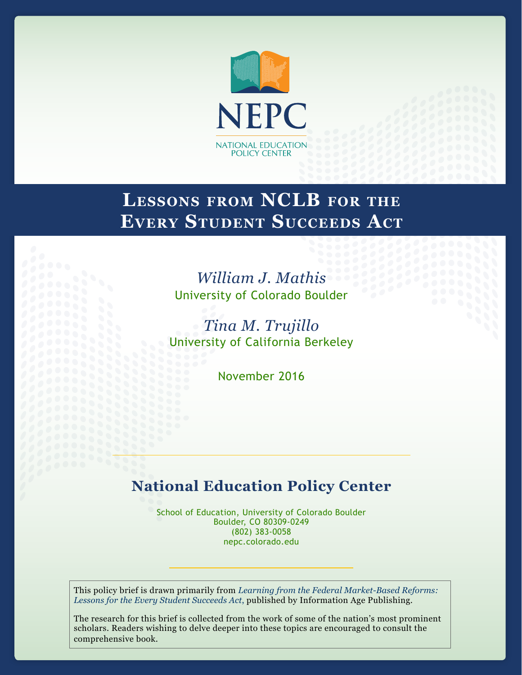

# **Lessons from NCLB for the Every Student Succeeds Act**

# *William J. Mathis* University of Colorado Boulder

*Tina M. Trujillo* University of California Berkeley

November 2016

# **National Education Policy Center**

School of Education, University of Colorado Boulder Boulder, CO 80309-0249 (802) 383-0058 nepc.colorado.edu

This policy brief is drawn primarily from *[Learning from the Federal Market-Based Reforms:](http://www.infoagepub.com/products/Learning-from-the-Federal-Market%E2%80%90Based-Reforms)  [Lessons for the Every Student Succeeds Act](http://www.infoagepub.com/products/Learning-from-the-Federal-Market%E2%80%90Based-Reforms)*, published by Information Age Publishing.

The research for this brief is collected from the work of some of the nation's most prominent scholars. Readers wishing to delve deeper into these topics are encouraged to consult the comprehensive book.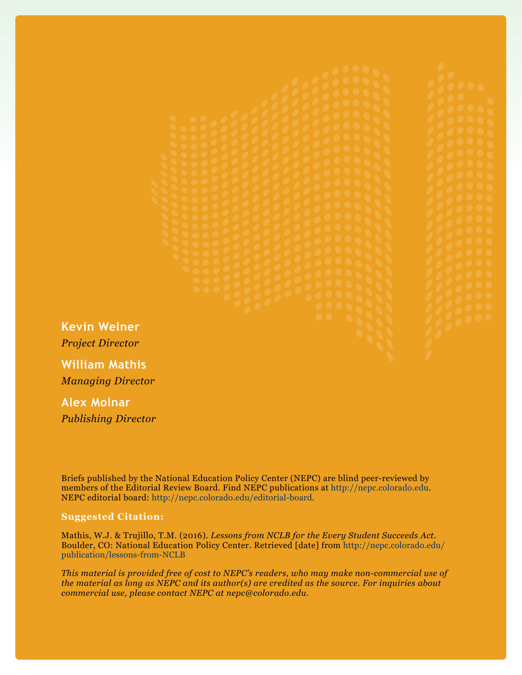**Kevin Welner**

*Project Director*

**William Mathis** *Managing Director*

**Alex Molnar** *Publishing Director*

Briefs published by the National Education Policy Center (NEPC) are blind peer-reviewed by members of the Editorial Review Board. Find NEPC publications at<http://nepc.colorado.edu>. NEPC editorial board: <http://nepc.colorado.edu/editorial-board>.

#### **Suggested Citation:**

Mathis, W.J. & Trujillo, T.M. (2016). *Lessons from NCLB for the Every Student Succeeds Act*. Boulder, CO: National Education Policy Center. Retrieved [date] from [http://nepc.colorado.edu/](http://nepc.colorado.edu/publication/lessons-from-NCLB) [publication/lessons-from-NCLB](http://nepc.colorado.edu/publication/lessons-from-NCLB)

*This material is provided free of cost to NEPC's readers, who may make non-commercial use of the material as long as NEPC and its author(s) are credited as the source. For inquiries about commercial use, please contact NEPC at nepc@colorado.edu.*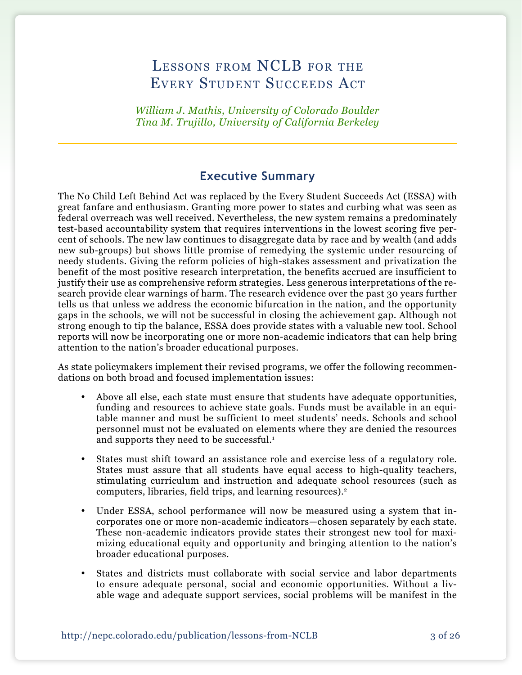# LESSONS FROM NCLB FOR THE Every Student Succeeds Act

*William J. Mathis, University of Colorado Boulder Tina M. Trujillo, University of California Berkeley*

# **Executive Summary**

The No Child Left Behind Act was replaced by the Every Student Succeeds Act (ESSA) with great fanfare and enthusiasm. Granting more power to states and curbing what was seen as federal overreach was well received. Nevertheless, the new system remains a predominately test-based accountability system that requires interventions in the lowest scoring five percent of schools. The new law continues to disaggregate data by race and by wealth (and adds new sub-groups) but shows little promise of remedying the systemic under resourcing of needy students. Giving the reform policies of high-stakes assessment and privatization the benefit of the most positive research interpretation, the benefits accrued are insufficient to justify their use as comprehensive reform strategies. Less generous interpretations of the research provide clear warnings of harm. The research evidence over the past 30 years further tells us that unless we address the economic bifurcation in the nation, and the opportunity gaps in the schools, we will not be successful in closing the achievement gap. Although not strong enough to tip the balance, ESSA does provide states with a valuable new tool. School reports will now be incorporating one or more non-academic indicators that can help bring attention to the nation's broader educational purposes.

As state policymakers implement their revised programs, we offer the following recommendations on both broad and focused implementation issues:

- • Above all else, each state must ensure that students have adequate opportunities, funding and resources to achieve state goals. Funds must be available in an equitable manner and must be sufficient to meet students' needs. Schools and school personnel must not be evaluated on elements where they are denied the resources and supports they need to be successful.<sup>1</sup>
- States must shift toward an assistance role and exercise less of a regulatory role. States must assure that all students have equal access to high-quality teachers, stimulating curriculum and instruction and adequate school resources (such as computers, libraries, field trips, and learning resources).2
- Under ESSA, school performance will now be measured using a system that incorporates one or more non-academic indicators—chosen separately by each state. These non-academic indicators provide states their strongest new tool for maximizing educational equity and opportunity and bringing attention to the nation's broader educational purposes.
- • States and districts must collaborate with social service and labor departments to ensure adequate personal, social and economic opportunities. Without a livable wage and adequate support services, social problems will be manifest in the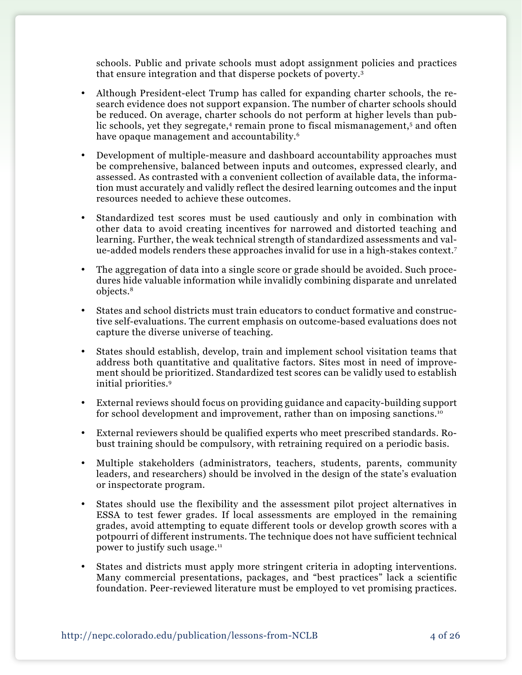schools. Public and private schools must adopt assignment policies and practices that ensure integration and that disperse pockets of poverty.3

- Although President-elect Trump has called for expanding charter schools, the research evidence does not support expansion. The number of charter schools should be reduced. On average, charter schools do not perform at higher levels than public schools, yet they segregate,<sup>4</sup> remain prone to fiscal mismanagement,<sup>5</sup> and often have opaque management and accountability.<sup>6</sup>
- Development of multiple-measure and dashboard accountability approaches must be comprehensive, balanced between inputs and outcomes, expressed clearly, and assessed. As contrasted with a convenient collection of available data, the information must accurately and validly reflect the desired learning outcomes and the input resources needed to achieve these outcomes.
- Standardized test scores must be used cautiously and only in combination with other data to avoid creating incentives for narrowed and distorted teaching and learning. Further, the weak technical strength of standardized assessments and value-added models renders these approaches invalid for use in a high-stakes context.7
- The aggregation of data into a single score or grade should be avoided. Such procedures hide valuable information while invalidly combining disparate and unrelated objects.8
- • States and school districts must train educators to conduct formative and constructive self-evaluations. The current emphasis on outcome-based evaluations does not capture the diverse universe of teaching.
- States should establish, develop, train and implement school visitation teams that address both quantitative and qualitative factors. Sites most in need of improvement should be prioritized. Standardized test scores can be validly used to establish initial priorities.9
- External reviews should focus on providing guidance and capacity-building support for school development and improvement, rather than on imposing sanctions.10
- • External reviewers should be qualified experts who meet prescribed standards. Robust training should be compulsory, with retraining required on a periodic basis.
- • Multiple stakeholders (administrators, teachers, students, parents, community leaders, and researchers) should be involved in the design of the state's evaluation or inspectorate program.
- States should use the flexibility and the assessment pilot project alternatives in ESSA to test fewer grades. If local assessments are employed in the remaining grades, avoid attempting to equate different tools or develop growth scores with a potpourri of different instruments. The technique does not have sufficient technical power to justify such usage.11
- States and districts must apply more stringent criteria in adopting interventions. Many commercial presentations, packages, and "best practices" lack a scientific foundation. Peer-reviewed literature must be employed to vet promising practices.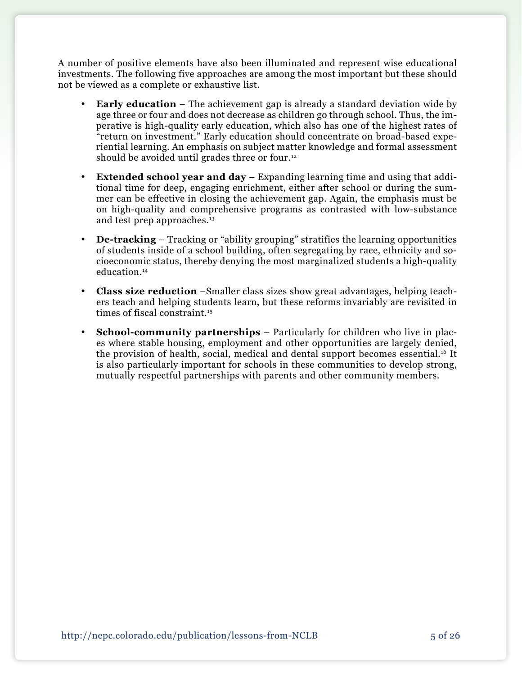A number of positive elements have also been illuminated and represent wise educational investments. The following five approaches are among the most important but these should not be viewed as a complete or exhaustive list.

- **Early education** The achievement gap is already a standard deviation wide by age three or four and does not decrease as children go through school. Thus, the imperative is high-quality early education, which also has one of the highest rates of "return on investment." Early education should concentrate on broad-based experiential learning. An emphasis on subject matter knowledge and formal assessment should be avoided until grades three or four.<sup>12</sup>
- • **Extended school year and day** Expanding learning time and using that additional time for deep, engaging enrichment, either after school or during the summer can be effective in closing the achievement gap. Again, the emphasis must be on high-quality and comprehensive programs as contrasted with low-substance and test prep approaches.<sup>13</sup>
- **De-tracking** Tracking or "ability grouping" stratifies the learning opportunities of students inside of a school building, often segregating by race, ethnicity and socioeconomic status, thereby denying the most marginalized students a high-quality education.14
- • **Class size reduction** –Smaller class sizes show great advantages, helping teachers teach and helping students learn, but these reforms invariably are revisited in times of fiscal constraint.<sup>15</sup>
- **School-community partnerships** Particularly for children who live in places where stable housing, employment and other opportunities are largely denied, the provision of health, social, medical and dental support becomes essential.16 It is also particularly important for schools in these communities to develop strong, mutually respectful partnerships with parents and other community members.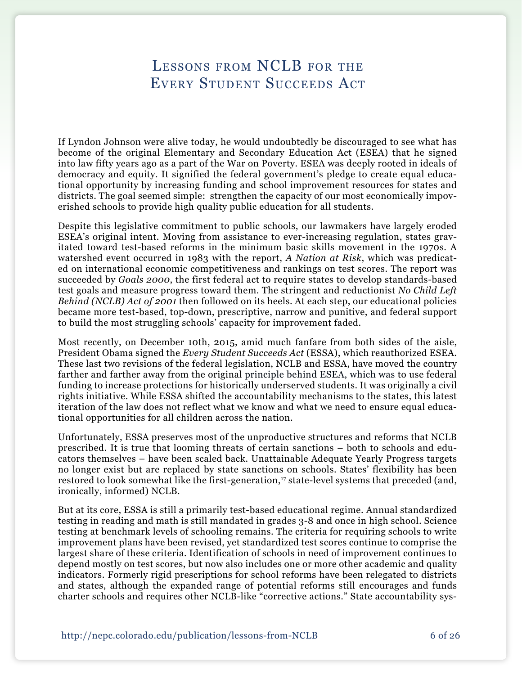# Lessons from NCLB for the Every Student Succeeds Act

If Lyndon Johnson were alive today, he would undoubtedly be discouraged to see what has become of the original Elementary and Secondary Education Act (ESEA) that he signed into law fifty years ago as a part of the War on Poverty. ESEA was deeply rooted in ideals of democracy and equity. It signified the federal government's pledge to create equal educational opportunity by increasing funding and school improvement resources for states and districts. The goal seemed simple: strengthen the capacity of our most economically impoverished schools to provide high quality public education for all students.

Despite this legislative commitment to public schools, our lawmakers have largely eroded ESEA's original intent. Moving from assistance to ever-increasing regulation, states gravitated toward test-based reforms in the minimum basic skills movement in the 1970s. A watershed event occurred in 1983 with the report, *A Nation at Risk*, which was predicated on international economic competitiveness and rankings on test scores. The report was succeeded by *Goals 2000*, the first federal act to require states to develop standards-based test goals and measure progress toward them. The stringent and reductionist *No Child Left Behind (NCLB) Act of 2001* then followed on its heels. At each step, our educational policies became more test-based, top-down, prescriptive, narrow and punitive, and federal support to build the most struggling schools' capacity for improvement faded.

Most recently, on December 10th, 2015, amid much fanfare from both sides of the aisle, President Obama signed the *Every Student Succeeds Act* (ESSA), which reauthorized ESEA. These last two revisions of the federal legislation, NCLB and ESSA, have moved the country farther and farther away from the original principle behind ESEA, which was to use federal funding to increase protections for historically underserved students. It was originally a civil rights initiative. While ESSA shifted the accountability mechanisms to the states, this latest iteration of the law does not reflect what we know and what we need to ensure equal educational opportunities for all children across the nation.

Unfortunately, ESSA preserves most of the unproductive structures and reforms that NCLB prescribed. It is true that looming threats of certain sanctions – both to schools and educators themselves – have been scaled back. Unattainable Adequate Yearly Progress targets no longer exist but are replaced by state sanctions on schools. States' flexibility has been restored to look somewhat like the first-generation,<sup>17</sup> state-level systems that preceded (and, ironically, informed) NCLB.

But at its core, ESSA is still a primarily test-based educational regime. Annual standardized testing in reading and math is still mandated in grades 3-8 and once in high school. Science testing at benchmark levels of schooling remains. The criteria for requiring schools to write improvement plans have been revised, yet standardized test scores continue to comprise the largest share of these criteria. Identification of schools in need of improvement continues to depend mostly on test scores, but now also includes one or more other academic and quality indicators. Formerly rigid prescriptions for school reforms have been relegated to districts and states, although the expanded range of potential reforms still encourages and funds charter schools and requires other NCLB-like "corrective actions." State accountability sys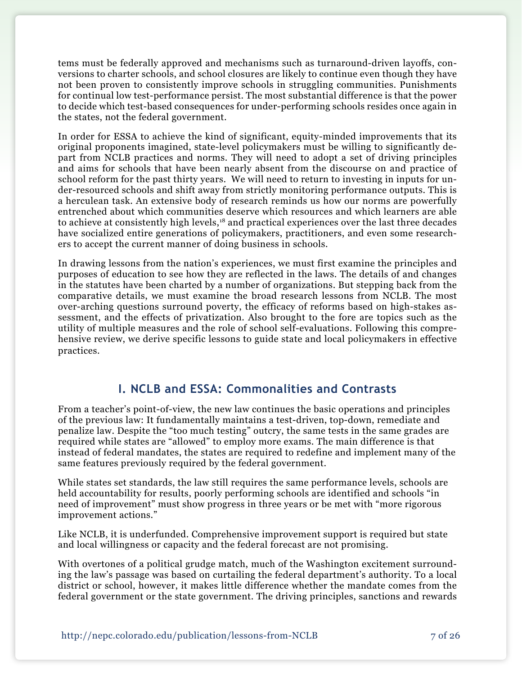tems must be federally approved and mechanisms such as turnaround-driven layoffs, conversions to charter schools, and school closures are likely to continue even though they have not been proven to consistently improve schools in struggling communities. Punishments for continual low test-performance persist. The most substantial difference is that the power to decide which test-based consequences for under-performing schools resides once again in the states, not the federal government.

In order for ESSA to achieve the kind of significant, equity-minded improvements that its original proponents imagined, state-level policymakers must be willing to significantly depart from NCLB practices and norms. They will need to adopt a set of driving principles and aims for schools that have been nearly absent from the discourse on and practice of school reform for the past thirty years. We will need to return to investing in inputs for under-resourced schools and shift away from strictly monitoring performance outputs. This is a herculean task. An extensive body of research reminds us how our norms are powerfully entrenched about which communities deserve which resources and which learners are able to achieve at consistently high levels,<sup>18</sup> and practical experiences over the last three decades have socialized entire generations of policymakers, practitioners, and even some researchers to accept the current manner of doing business in schools.

In drawing lessons from the nation's experiences, we must first examine the principles and purposes of education to see how they are reflected in the laws. The details of and changes in the statutes have been charted by a number of organizations. But stepping back from the comparative details, we must examine the broad research lessons from NCLB. The most over-arching questions surround poverty, the efficacy of reforms based on high-stakes assessment, and the effects of privatization. Also brought to the fore are topics such as the utility of multiple measures and the role of school self-evaluations. Following this comprehensive review, we derive specific lessons to guide state and local policymakers in effective practices.

## **I. NCLB and ESSA: Commonalities and Contrasts**

From a teacher's point-of-view, the new law continues the basic operations and principles of the previous law: It fundamentally maintains a test-driven, top-down, remediate and penalize law. Despite the "too much testing" outcry, the same tests in the same grades are required while states are "allowed" to employ more exams. The main difference is that instead of federal mandates, the states are required to redefine and implement many of the same features previously required by the federal government.

While states set standards, the law still requires the same performance levels, schools are held accountability for results, poorly performing schools are identified and schools "in need of improvement" must show progress in three years or be met with "more rigorous improvement actions."

Like NCLB, it is underfunded. Comprehensive improvement support is required but state and local willingness or capacity and the federal forecast are not promising.

With overtones of a political grudge match, much of the Washington excitement surrounding the law's passage was based on curtailing the federal department's authority. To a local district or school, however, it makes little difference whether the mandate comes from the federal government or the state government. The driving principles, sanctions and rewards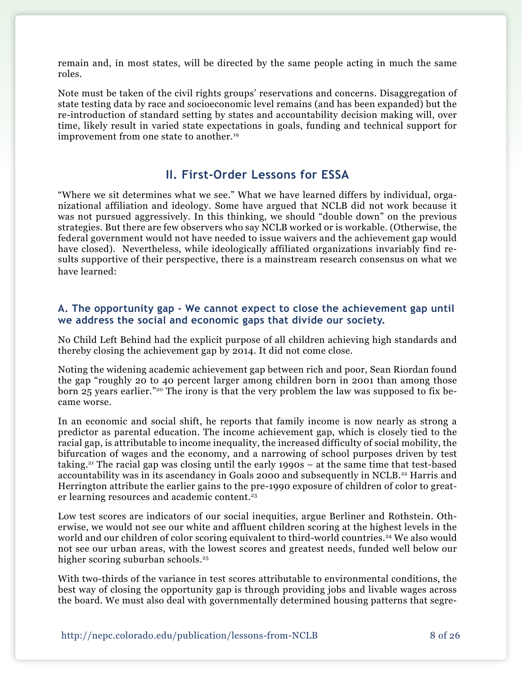remain and, in most states, will be directed by the same people acting in much the same roles.

Note must be taken of the civil rights groups' reservations and concerns. Disaggregation of state testing data by race and socioeconomic level remains (and has been expanded) but the re-introduction of standard setting by states and accountability decision making will, over time, likely result in varied state expectations in goals, funding and technical support for improvement from one state to another.<sup>19</sup>

# **II. First-Order Lessons for ESSA**

"Where we sit determines what we see." What we have learned differs by individual, organizational affiliation and ideology. Some have argued that NCLB did not work because it was not pursued aggressively. In this thinking, we should "double down" on the previous strategies. But there are few observers who say NCLB worked or is workable. (Otherwise, the federal government would not have needed to issue waivers and the achievement gap would have closed). Nevertheless, while ideologically affiliated organizations invariably find results supportive of their perspective, there is a mainstream research consensus on what we have learned:

#### **A. The opportunity gap - We cannot expect to close the achievement gap until we address the social and economic gaps that divide our society.**

No Child Left Behind had the explicit purpose of all children achieving high standards and thereby closing the achievement gap by 2014. It did not come close.

Noting the widening academic achievement gap between rich and poor, Sean Riordan found the gap "roughly 20 to 40 percent larger among children born in 2001 than among those born 25 years earlier."20 The irony is that the very problem the law was supposed to fix became worse.

In an economic and social shift, he reports that family income is now nearly as strong a predictor as parental education. The income achievement gap, which is closely tied to the racial gap, is attributable to income inequality, the increased difficulty of social mobility, the bifurcation of wages and the economy, and a narrowing of school purposes driven by test taking.<sup>21</sup> The racial gap was closing until the early  $1990s - at$  the same time that test-based accountability was in its ascendancy in Goals 2000 and subsequently in NCLB.22 Harris and Herrington attribute the earlier gains to the pre-1990 exposure of children of color to greater learning resources and academic content.<sup>23</sup>

Low test scores are indicators of our social inequities, argue Berliner and Rothstein. Otherwise, we would not see our white and affluent children scoring at the highest levels in the world and our children of color scoring equivalent to third-world countries.<sup>24</sup> We also would not see our urban areas, with the lowest scores and greatest needs, funded well below our higher scoring suburban schools.<sup>25</sup>

With two-thirds of the variance in test scores attributable to environmental conditions, the best way of closing the opportunity gap is through providing jobs and livable wages across the board. We must also deal with governmentally determined housing patterns that segre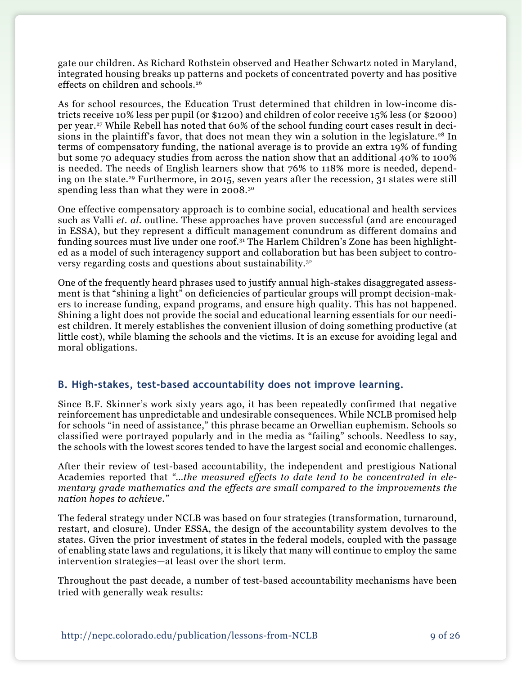gate our children. As Richard Rothstein observed and Heather Schwartz noted in Maryland, integrated housing breaks up patterns and pockets of concentrated poverty and has positive effects on children and schools.26

As for school resources, the Education Trust determined that children in low-income districts receive 10% less per pupil (or \$1200) and children of color receive 15% less (or \$2000) per year.27 While Rebell has noted that 60% of the school funding court cases result in decisions in the plaintiff's favor, that does not mean they win a solution in the legislature.<sup>28</sup> In terms of compensatory funding, the national average is to provide an extra 19% of funding but some 70 adequacy studies from across the nation show that an additional 40% to 100% is needed. The needs of English learners show that 76% to 118% more is needed, depending on the state.29 Furthermore, in 2015, seven years after the recession, 31 states were still spending less than what they were in 2008.<sup>30</sup>

One effective compensatory approach is to combine social, educational and health services such as Valli *et. al*. outline. These approaches have proven successful (and are encouraged in ESSA), but they represent a difficult management conundrum as different domains and funding sources must live under one roof.31 The Harlem Children's Zone has been highlighted as a model of such interagency support and collaboration but has been subject to controversy regarding costs and questions about sustainability.32

One of the frequently heard phrases used to justify annual high-stakes disaggregated assessment is that "shining a light" on deficiencies of particular groups will prompt decision-makers to increase funding, expand programs, and ensure high quality. This has not happened. Shining a light does not provide the social and educational learning essentials for our neediest children. It merely establishes the convenient illusion of doing something productive (at little cost), while blaming the schools and the victims. It is an excuse for avoiding legal and moral obligations.

#### **B. High-stakes, test-based accountability does not improve learning.**

Since B.F. Skinner's work sixty years ago, it has been repeatedly confirmed that negative reinforcement has unpredictable and undesirable consequences. While NCLB promised help for schools "in need of assistance," this phrase became an Orwellian euphemism. Schools so classified were portrayed popularly and in the media as "failing" schools. Needless to say, the schools with the lowest scores tended to have the largest social and economic challenges.

After their review of test-based accountability, the independent and prestigious National Academies reported that *"…the measured effects to date tend to be concentrated in elementary grade mathematics and the effects are small compared to the improvements the nation hopes to achieve."*

The federal strategy under NCLB was based on four strategies (transformation, turnaround, restart, and closure). Under ESSA, the design of the accountability system devolves to the states. Given the prior investment of states in the federal models, coupled with the passage of enabling state laws and regulations, it is likely that many will continue to employ the same intervention strategies—at least over the short term.

Throughout the past decade, a number of test-based accountability mechanisms have been tried with generally weak results: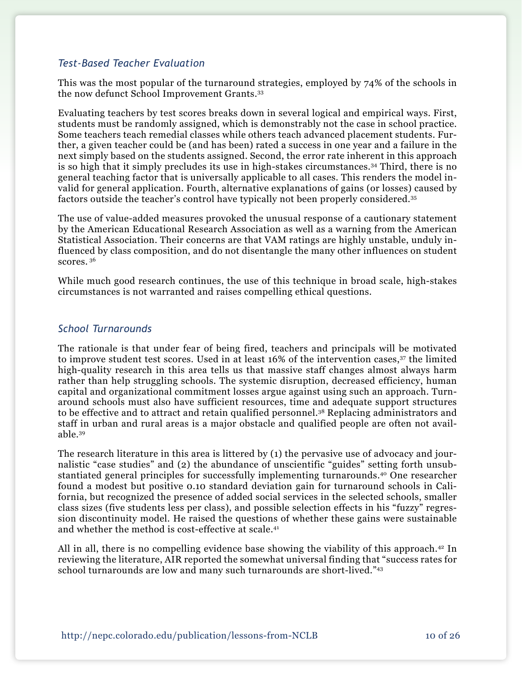### *Test-Based Teacher Evaluation*

This was the most popular of the turnaround strategies, employed by 74% of the schools in the now defunct School Improvement Grants.33

Evaluating teachers by test scores breaks down in several logical and empirical ways. First, students must be randomly assigned, which is demonstrably not the case in school practice. Some teachers teach remedial classes while others teach advanced placement students. Further, a given teacher could be (and has been) rated a success in one year and a failure in the next simply based on the students assigned. Second, the error rate inherent in this approach is so high that it simply precludes its use in high-stakes circumstances.34 Third, there is no general teaching factor that is universally applicable to all cases. This renders the model invalid for general application. Fourth, alternative explanations of gains (or losses) caused by factors outside the teacher's control have typically not been properly considered.35

The use of value-added measures provoked the unusual response of a cautionary statement by the American Educational Research Association as well as a warning from the American Statistical Association. Their concerns are that VAM ratings are highly unstable, unduly influenced by class composition, and do not disentangle the many other influences on student scores. 36

While much good research continues, the use of this technique in broad scale, high-stakes circumstances is not warranted and raises compelling ethical questions.

#### *School Turnarounds*

The rationale is that under fear of being fired, teachers and principals will be motivated to improve student test scores. Used in at least 16% of the intervention cases,37 the limited high-quality research in this area tells us that massive staff changes almost always harm rather than help struggling schools. The systemic disruption, decreased efficiency, human capital and organizational commitment losses argue against using such an approach. Turnaround schools must also have sufficient resources, time and adequate support structures to be effective and to attract and retain qualified personnel.38 Replacing administrators and staff in urban and rural areas is a major obstacle and qualified people are often not available.39

The research literature in this area is littered by (1) the pervasive use of advocacy and journalistic "case studies" and (2) the abundance of unscientific "guides" setting forth unsubstantiated general principles for successfully implementing turnarounds.40 One researcher found a modest but positive 0.10 standard deviation gain for turnaround schools in California, but recognized the presence of added social services in the selected schools, smaller class sizes (five students less per class), and possible selection effects in his "fuzzy" regression discontinuity model. He raised the questions of whether these gains were sustainable and whether the method is cost-effective at scale.41

All in all, there is no compelling evidence base showing the viability of this approach.<sup>42</sup> In reviewing the literature, AIR reported the somewhat universal finding that "success rates for school turnarounds are low and many such turnarounds are short-lived."43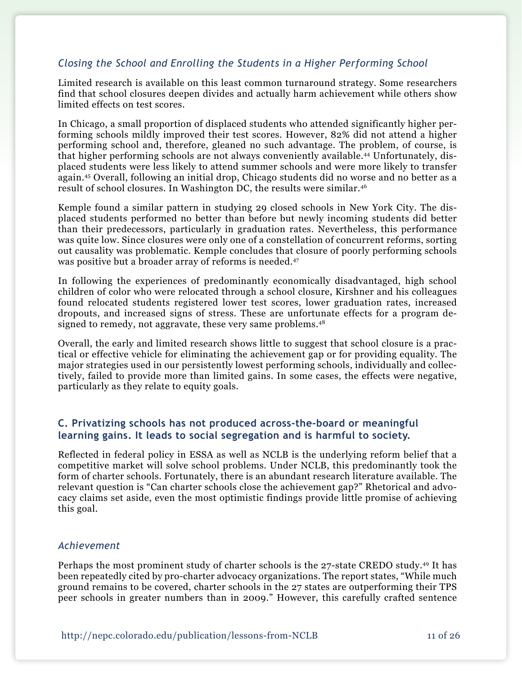#### *Closing the School and Enrolling the Students in a Higher Performing School*

Limited research is available on this least common turnaround strategy. Some researchers find that school closures deepen divides and actually harm achievement while others show limited effects on test scores.

In Chicago, a small proportion of displaced students who attended significantly higher performing schools mildly improved their test scores. However, 82% did not attend a higher performing school and, therefore, gleaned no such advantage. The problem, of course, is that higher performing schools are not always conveniently available.44 Unfortunately, displaced students were less likely to attend summer schools and were more likely to transfer again.45 Overall, following an initial drop, Chicago students did no worse and no better as a result of school closures. In Washington DC, the results were similar.46

Kemple found a similar pattern in studying 29 closed schools in New York City. The displaced students performed no better than before but newly incoming students did better than their predecessors, particularly in graduation rates. Nevertheless, this performance was quite low. Since closures were only one of a constellation of concurrent reforms, sorting out causality was problematic. Kemple concludes that closure of poorly performing schools was positive but a broader array of reforms is needed.<sup>47</sup>

In following the experiences of predominantly economically disadvantaged, high school children of color who were relocated through a school closure, Kirshner and his colleagues found relocated students registered lower test scores, lower graduation rates, increased dropouts, and increased signs of stress. These are unfortunate effects for a program designed to remedy, not aggravate, these very same problems.<sup>48</sup>

Overall, the early and limited research shows little to suggest that school closure is a practical or effective vehicle for eliminating the achievement gap or for providing equality. The major strategies used in our persistently lowest performing schools, individually and collectively, failed to provide more than limited gains. In some cases, the effects were negative, particularly as they relate to equity goals.

#### **C. Privatizing schools has not produced across-the-board or meaningful learning gains. It leads to social segregation and is harmful to society.**

Reflected in federal policy in ESSA as well as NCLB is the underlying reform belief that a competitive market will solve school problems. Under NCLB, this predominantly took the form of charter schools. Fortunately, there is an abundant research literature available. The relevant question is "Can charter schools close the achievement gap?" Rhetorical and advocacy claims set aside, even the most optimistic findings provide little promise of achieving this goal.

#### *Achievement*

Perhaps the most prominent study of charter schools is the 27-state CREDO study.49 It has been repeatedly cited by pro-charter advocacy organizations. The report states, "While much ground remains to be covered, charter schools in the 27 states are outperforming their TPS peer schools in greater numbers than in 2009." However, this carefully crafted sentence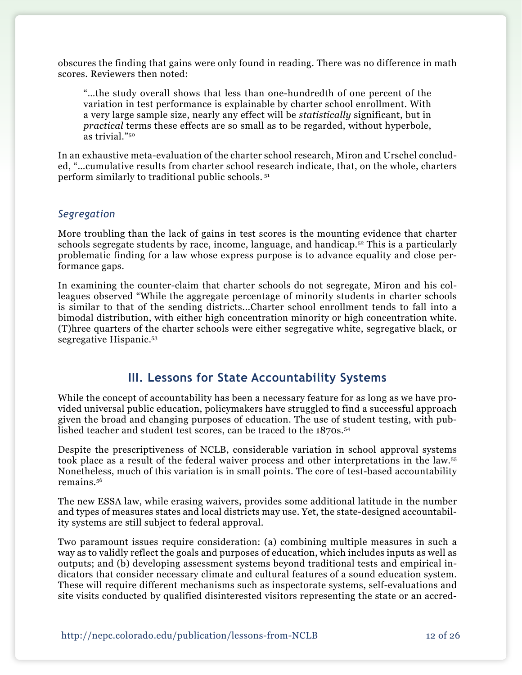obscures the finding that gains were only found in reading. There was no difference in math scores. Reviewers then noted:

"…the study overall shows that less than one-hundredth of one percent of the variation in test performance is explainable by charter school enrollment. With a very large sample size, nearly any effect will be *statistically* significant, but in *practical* terms these effects are so small as to be regarded, without hyperbole, as trivial."50

In an exhaustive meta-evaluation of the charter school research, Miron and Urschel concluded, "…cumulative results from charter school research indicate, that, on the whole, charters perform similarly to traditional public schools. 51

#### *Segregation*

More troubling than the lack of gains in test scores is the mounting evidence that charter schools segregate students by race, income, language, and handicap.<sup>52</sup> This is a particularly problematic finding for a law whose express purpose is to advance equality and close performance gaps.

In examining the counter-claim that charter schools do not segregate, Miron and his colleagues observed "While the aggregate percentage of minority students in charter schools is similar to that of the sending districts...Charter school enrollment tends to fall into a bimodal distribution, with either high concentration minority or high concentration white. (T)hree quarters of the charter schools were either segregative white, segregative black, or segregative Hispanic.<sup>53</sup>

## **III. Lessons for State Accountability Systems**

While the concept of accountability has been a necessary feature for as long as we have provided universal public education, policymakers have struggled to find a successful approach given the broad and changing purposes of education. The use of student testing, with published teacher and student test scores, can be traced to the 1870s.<sup>54</sup>

Despite the prescriptiveness of NCLB, considerable variation in school approval systems took place as a result of the federal waiver process and other interpretations in the law.55 Nonetheless, much of this variation is in small points. The core of test-based accountability remains.56

The new ESSA law, while erasing waivers, provides some additional latitude in the number and types of measures states and local districts may use. Yet, the state-designed accountability systems are still subject to federal approval.

Two paramount issues require consideration: (a) combining multiple measures in such a way as to validly reflect the goals and purposes of education, which includes inputs as well as outputs; and (b) developing assessment systems beyond traditional tests and empirical indicators that consider necessary climate and cultural features of a sound education system. These will require different mechanisms such as inspectorate systems, self-evaluations and site visits conducted by qualified disinterested visitors representing the state or an accred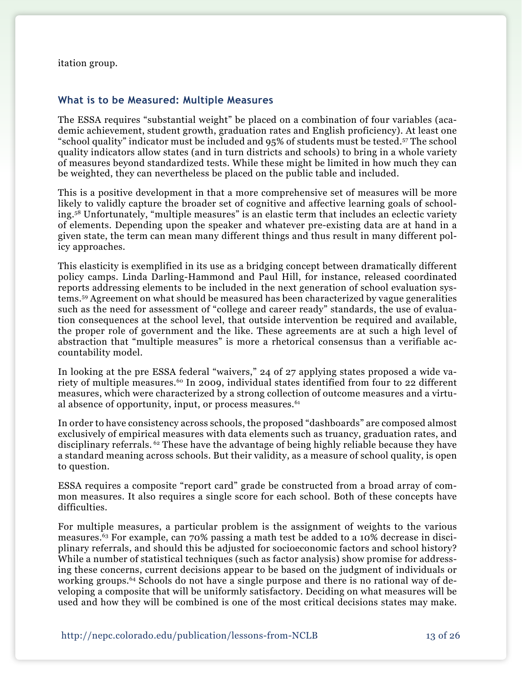itation group.

#### **What is to be Measured: Multiple Measures**

The ESSA requires "substantial weight" be placed on a combination of four variables (academic achievement, student growth, graduation rates and English proficiency). At least one "school quality" indicator must be included and 95% of students must be tested.57 The school quality indicators allow states (and in turn districts and schools) to bring in a whole variety of measures beyond standardized tests. While these might be limited in how much they can be weighted, they can nevertheless be placed on the public table and included.

This is a positive development in that a more comprehensive set of measures will be more likely to validly capture the broader set of cognitive and affective learning goals of schooling.58 Unfortunately, "multiple measures" is an elastic term that includes an eclectic variety of elements. Depending upon the speaker and whatever pre-existing data are at hand in a given state, the term can mean many different things and thus result in many different policy approaches.

This elasticity is exemplified in its use as a bridging concept between dramatically different policy camps. Linda Darling-Hammond and Paul Hill, for instance, released coordinated reports addressing elements to be included in the next generation of school evaluation systems.59 Agreement on what should be measured has been characterized by vague generalities such as the need for assessment of "college and career ready" standards, the use of evaluation consequences at the school level, that outside intervention be required and available, the proper role of government and the like. These agreements are at such a high level of abstraction that "multiple measures" is more a rhetorical consensus than a verifiable accountability model.

In looking at the pre ESSA federal "waivers," 24 of 27 applying states proposed a wide variety of multiple measures.<sup>60</sup> In 2009, individual states identified from four to 22 different measures, which were characterized by a strong collection of outcome measures and a virtual absence of opportunity, input, or process measures. $61$ 

In order to have consistency across schools, the proposed "dashboards" are composed almost exclusively of empirical measures with data elements such as truancy, graduation rates, and disciplinary referrals. <sup>62</sup> These have the advantage of being highly reliable because they have a standard meaning across schools. But their validity, as a measure of school quality, is open to question.

ESSA requires a composite "report card" grade be constructed from a broad array of common measures. It also requires a single score for each school. Both of these concepts have difficulties.

For multiple measures, a particular problem is the assignment of weights to the various measures.63 For example, can 70% passing a math test be added to a 10% decrease in disciplinary referrals, and should this be adjusted for socioeconomic factors and school history? While a number of statistical techniques (such as factor analysis) show promise for addressing these concerns, current decisions appear to be based on the judgment of individuals or working groups.<sup>64</sup> Schools do not have a single purpose and there is no rational way of developing a composite that will be uniformly satisfactory. Deciding on what measures will be used and how they will be combined is one of the most critical decisions states may make.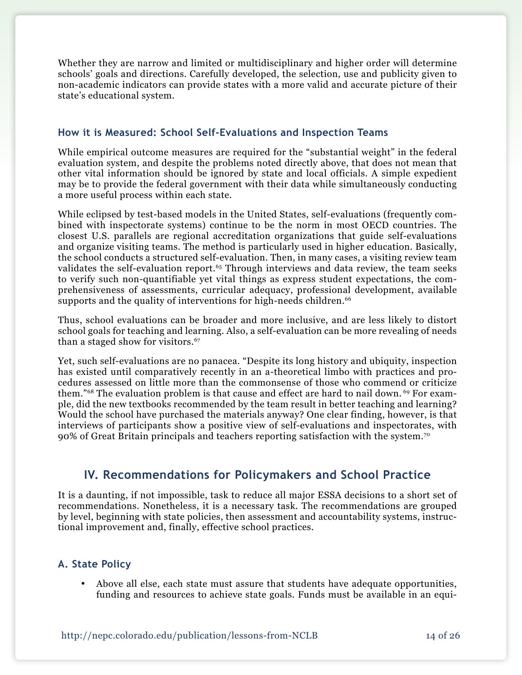Whether they are narrow and limited or multidisciplinary and higher order will determine schools' goals and directions. Carefully developed, the selection, use and publicity given to non-academic indicators can provide states with a more valid and accurate picture of their state's educational system.

#### **How it is Measured: School Self-Evaluations and Inspection Teams**

While empirical outcome measures are required for the "substantial weight" in the federal evaluation system, and despite the problems noted directly above, that does not mean that other vital information should be ignored by state and local officials. A simple expedient may be to provide the federal government with their data while simultaneously conducting a more useful process within each state.

While eclipsed by test-based models in the United States, self-evaluations (frequently combined with inspectorate systems) continue to be the norm in most OECD countries. The closest U.S. parallels are regional accreditation organizations that guide self-evaluations and organize visiting teams. The method is particularly used in higher education. Basically, the school conducts a structured self-evaluation. Then, in many cases, a visiting review team validates the self-evaluation report.<sup>65</sup> Through interviews and data review, the team seeks to verify such non-quantifiable yet vital things as express student expectations, the comprehensiveness of assessments, curricular adequacy, professional development, available supports and the quality of interventions for high-needs children.<sup>66</sup>

Thus, school evaluations can be broader and more inclusive, and are less likely to distort school goals for teaching and learning. Also, a self-evaluation can be more revealing of needs than a staged show for visitors.<sup>67</sup>

Yet, such self-evaluations are no panacea. "Despite its long history and ubiquity, inspection has existed until comparatively recently in an a-theoretical limbo with practices and procedures assessed on little more than the commonsense of those who commend or criticize them."<sup>68</sup> The evaluation problem is that cause and effect are hard to nail down.<sup>69</sup> For example, did the new textbooks recommended by the team result in better teaching and learning? Would the school have purchased the materials anyway? One clear finding, however, is that interviews of participants show a positive view of self-evaluations and inspectorates, with 90% of Great Britain principals and teachers reporting satisfaction with the system.70

# **IV. Recommendations for Policymakers and School Practice**

It is a daunting, if not impossible, task to reduce all major ESSA decisions to a short set of recommendations. Nonetheless, it is a necessary task. The recommendations are grouped by level, beginning with state policies, then assessment and accountability systems, instructional improvement and, finally, effective school practices.

#### **A. State Policy**

Above all else, each state must assure that students have adequate opportunities, funding and resources to achieve state goals. Funds must be available in an equi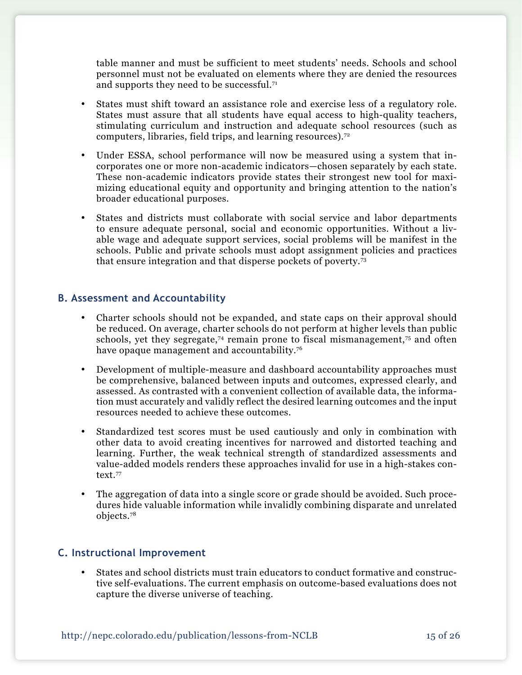table manner and must be sufficient to meet students' needs. Schools and school personnel must not be evaluated on elements where they are denied the resources and supports they need to be successful.71

- • States must shift toward an assistance role and exercise less of a regulatory role. States must assure that all students have equal access to high-quality teachers, stimulating curriculum and instruction and adequate school resources (such as computers, libraries, field trips, and learning resources).72
- Under ESSA, school performance will now be measured using a system that incorporates one or more non-academic indicators—chosen separately by each state. These non-academic indicators provide states their strongest new tool for maximizing educational equity and opportunity and bringing attention to the nation's broader educational purposes.
- States and districts must collaborate with social service and labor departments to ensure adequate personal, social and economic opportunities. Without a livable wage and adequate support services, social problems will be manifest in the schools. Public and private schools must adopt assignment policies and practices that ensure integration and that disperse pockets of poverty.73

#### **B. Assessment and Accountability**

- Charter schools should not be expanded, and state caps on their approval should be reduced. On average, charter schools do not perform at higher levels than public schools, yet they segregate,<sup>74</sup> remain prone to fiscal mismanagement,<sup>75</sup> and often have opaque management and accountability.<sup>76</sup>
- Development of multiple-measure and dashboard accountability approaches must be comprehensive, balanced between inputs and outcomes, expressed clearly, and assessed. As contrasted with a convenient collection of available data, the information must accurately and validly reflect the desired learning outcomes and the input resources needed to achieve these outcomes.
- • Standardized test scores must be used cautiously and only in combination with other data to avoid creating incentives for narrowed and distorted teaching and learning. Further, the weak technical strength of standardized assessments and value-added models renders these approaches invalid for use in a high-stakes context.77
- The aggregation of data into a single score or grade should be avoided. Such procedures hide valuable information while invalidly combining disparate and unrelated objects.78

#### **C. Instructional Improvement**

States and school districts must train educators to conduct formative and constructive self-evaluations. The current emphasis on outcome-based evaluations does not capture the diverse universe of teaching.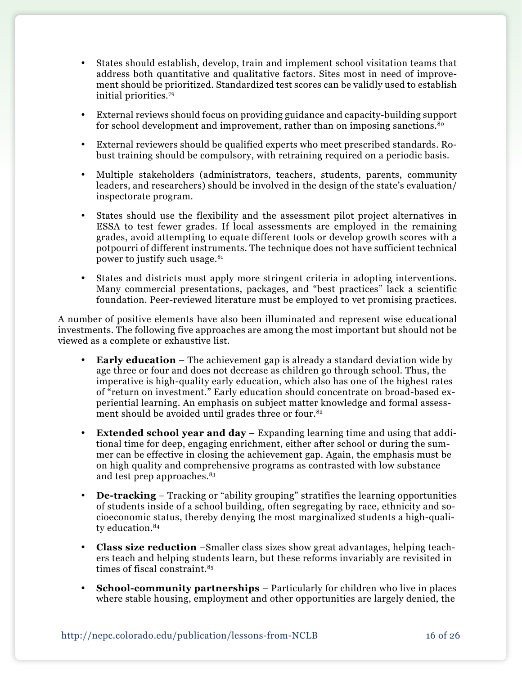- • States should establish, develop, train and implement school visitation teams that address both quantitative and qualitative factors. Sites most in need of improvement should be prioritized. Standardized test scores can be validly used to establish initial priorities.79
- External reviews should focus on providing guidance and capacity-building support for school development and improvement, rather than on imposing sanctions.<sup>80</sup>
- • External reviewers should be qualified experts who meet prescribed standards. Robust training should be compulsory, with retraining required on a periodic basis.
- • Multiple stakeholders (administrators, teachers, students, parents, community leaders, and researchers) should be involved in the design of the state's evaluation/ inspectorate program.
- • States should use the flexibility and the assessment pilot project alternatives in ESSA to test fewer grades. If local assessments are employed in the remaining grades, avoid attempting to equate different tools or develop growth scores with a potpourri of different instruments. The technique does not have sufficient technical power to justify such usage.<sup>81</sup>
- States and districts must apply more stringent criteria in adopting interventions. Many commercial presentations, packages, and "best practices" lack a scientific foundation. Peer-reviewed literature must be employed to vet promising practices.

A number of positive elements have also been illuminated and represent wise educational investments. The following five approaches are among the most important but should not be viewed as a complete or exhaustive list.

- **Early education** The achievement gap is already a standard deviation wide by age three or four and does not decrease as children go through school. Thus, the imperative is high-quality early education, which also has one of the highest rates of "return on investment." Early education should concentrate on broad-based experiential learning. An emphasis on subject matter knowledge and formal assessment should be avoided until grades three or four.<sup>82</sup>
- • **Extended school year and day** Expanding learning time and using that additional time for deep, engaging enrichment, either after school or during the summer can be effective in closing the achievement gap. Again, the emphasis must be on high quality and comprehensive programs as contrasted with low substance and test prep approaches.<sup>83</sup>
- **De-tracking** Tracking or "ability grouping" stratifies the learning opportunities of students inside of a school building, often segregating by race, ethnicity and socioeconomic status, thereby denying the most marginalized students a high-quality education.<sup>84</sup>
- **Class size reduction** –Smaller class sizes show great advantages, helping teachers teach and helping students learn, but these reforms invariably are revisited in times of fiscal constraint.<sup>85</sup>
- **School-community partnerships** Particularly for children who live in places where stable housing, employment and other opportunities are largely denied, the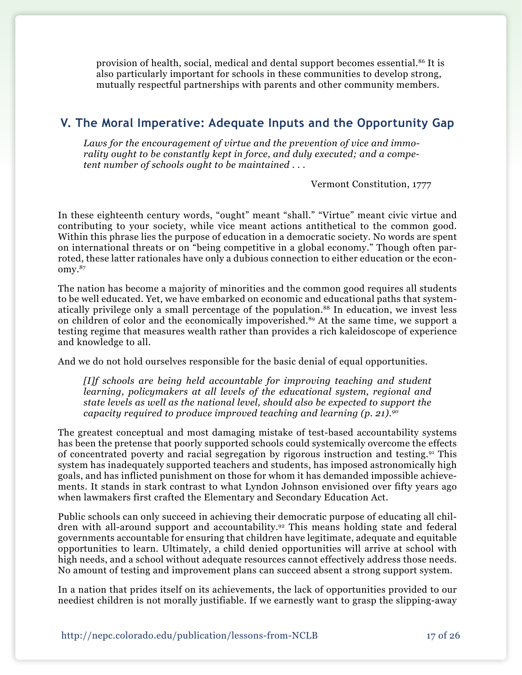provision of health, social, medical and dental support becomes essential.86 It is also particularly important for schools in these communities to develop strong, mutually respectful partnerships with parents and other community members.

# **V. The Moral Imperative: Adequate Inputs and the Opportunity Gap**

*Laws for the encouragement of virtue and the prevention of vice and immorality ought to be constantly kept in force, and duly executed; and a competent number of schools ought to be maintained . . .* 

Vermont Constitution, 1777

In these eighteenth century words, "ought" meant "shall." "Virtue" meant civic virtue and contributing to your society, while vice meant actions antithetical to the common good. Within this phrase lies the purpose of education in a democratic society. No words are spent on international threats or on "being competitive in a global economy." Though often parroted, these latter rationales have only a dubious connection to either education or the economy.87

The nation has become a majority of minorities and the common good requires all students to be well educated. Yet, we have embarked on economic and educational paths that systematically privilege only a small percentage of the population.<sup>88</sup> In education, we invest less on children of color and the economically impoverished.<sup>89</sup> At the same time, we support a testing regime that measures wealth rather than provides a rich kaleidoscope of experience and knowledge to all.

And we do not hold ourselves responsible for the basic denial of equal opportunities.

*[I]f schools are being held accountable for improving teaching and student learning, policymakers at all levels of the educational system, regional and state levels as well as the national level, should also be expected to support the capacity required to produce improved teaching and learning (p. 21).90*

The greatest conceptual and most damaging mistake of test-based accountability systems has been the pretense that poorly supported schools could systemically overcome the effects of concentrated poverty and racial segregation by rigorous instruction and testing.91 This system has inadequately supported teachers and students, has imposed astronomically high goals, and has inflicted punishment on those for whom it has demanded impossible achievements. It stands in stark contrast to what Lyndon Johnson envisioned over fifty years ago when lawmakers first crafted the Elementary and Secondary Education Act.

Public schools can only succeed in achieving their democratic purpose of educating all children with all-around support and accountability.<sup>92</sup> This means holding state and federal governments accountable for ensuring that children have legitimate, adequate and equitable opportunities to learn. Ultimately, a child denied opportunities will arrive at school with high needs, and a school without adequate resources cannot effectively address those needs. No amount of testing and improvement plans can succeed absent a strong support system.

In a nation that prides itself on its achievements, the lack of opportunities provided to our neediest children is not morally justifiable. If we earnestly want to grasp the slipping-away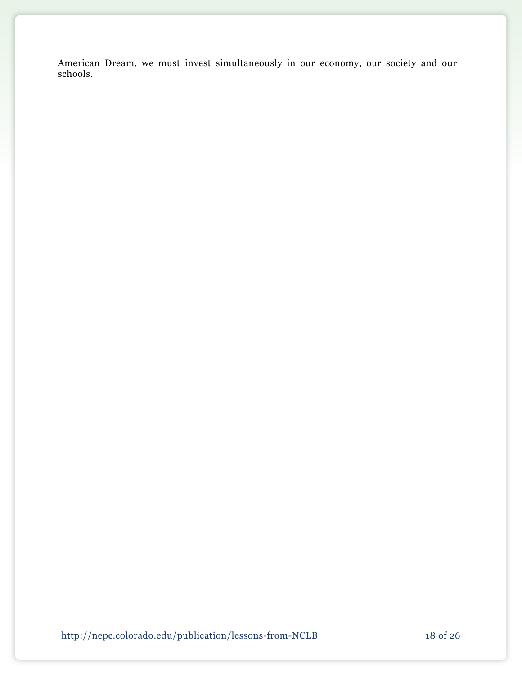American Dream, we must invest simultaneously in our economy, our society and our schools.

http://nepc.colorado.edu/publication/lessons-from-NCLB 18 of 26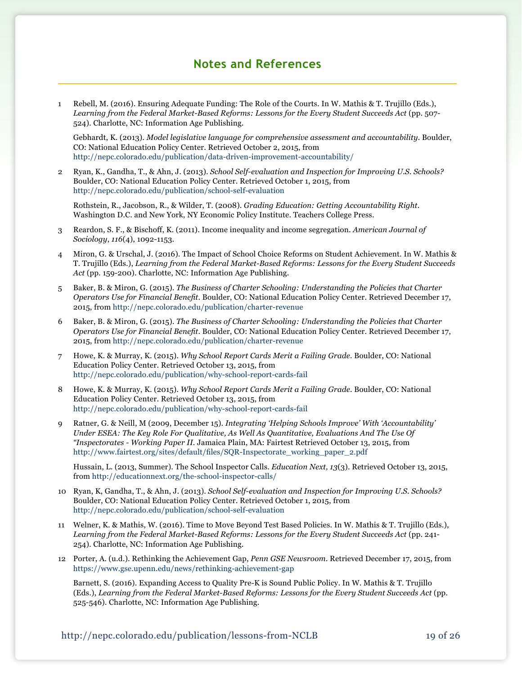# **Notes and References**

1 Rebell, M. (2016). Ensuring Adequate Funding: The Role of the Courts. In W. Mathis & T. Trujillo (Eds.), *Learning from the Federal Market-Based Reforms: Lessons for the Every Student Succeeds Act* (pp. 507- 524). Charlotte, NC: Information Age Publishing.

Gebhardt, K. (2013). *Model legislative language for comprehensive assessment and accountability.* Boulder, CO: National Education Policy Center. Retrieved October 2, 2015, from <http://nepc.colorado.edu/publication/data-driven-improvement-accountability/>

2 Ryan, K., Gandha, T., & Ahn, J. (2013). *School Self-evaluation and Inspection for Improving U.S. Schools?*  Boulder, CO: National Education Policy Center. Retrieved October 1, 2015, from <http://nepc.colorado.edu/publication/school-self-evaluation>

Rothstein, R., Jacobson, R., & Wilder, T. (2008). *Grading Education: Getting Accountability Right.*  Washington D.C. and New York, NY Economic Policy Institute. Teachers College Press.

- 3 Reardon, S. F., & Bischoff, K. (2011). Income inequality and income segregation. *American Journal of Sociology*, *116*(4), 1092-1153.
- 4 Miron, G. & Urschal, J. (2016). The Impact of School Choice Reforms on Student Achievement. In W. Mathis & T. Trujillo (Eds.), *Learning from the Federal Market-Based Reforms: Lessons for the Every Student Succeeds Act* (pp. 159-200). Charlotte, NC: Information Age Publishing.
- 5 Baker, B. & Miron, G. (2015). *The Business of Charter Schooling: Understanding the Policies that Charter Operators Use for Financial Benefit.* Boulder, CO: National Education Policy Center. Retrieved December 17, 2015, from<http://nepc.colorado.edu/publication/charter-revenue>
- 6 Baker, B. & Miron, G. (2015). *The Business of Charter Schooling: Understanding the Policies that Charter Operators Use for Financial Benefit.* Boulder, CO: National Education Policy Center. Retrieved December 17, 2015, from<http://nepc.colorado.edu/publication/charter-revenue>
- 7 Howe, K. & Murray, K. (2015). *Why School Report Cards Merit a Failing Grade.* Boulder, CO: National Education Policy Center. Retrieved October 13, 2015, from <http://nepc.colorado.edu/publication/why-school-report-cards-fail>
- 8 Howe, K. & Murray, K. (2015). *Why School Report Cards Merit a Failing Grade.* Boulder, CO: National Education Policy Center. Retrieved October 13, 2015, from <http://nepc.colorado.edu/publication/why-school-report-cards-fail>
- 9 Ratner, G. & Neill, M (2009, December 15). *Integrating 'Helping Schools Improve' With 'Accountability' Under ESEA: The Key Role For Qualitative, As Well As Quantitative, Evaluations And The Use Of "Inspectorates - Working Paper II.* Jamaica Plain, MA: Fairtest Retrieved October 13, 2015, from [http://www.fairtest.org/sites/default/files/SQR-Inspectorate\\_working\\_paper\\_2.pdf](http://www.fairtest.org/sites/default/files/SQR-Inspectorate_working_paper_2.pdf)

Hussain, L. (2013, Summer). The School Inspector Calls. *Education Next, 13*(3). Retrieved October 13, 2015, from <http://educationnext.org/the-school-inspector-calls/>

- 10 Ryan, K, Gandha, T., & Ahn, J. (2013). *School Self-evaluation and Inspection for Improving U.S. Schools?*  Boulder, CO: National Education Policy Center. Retrieved October 1, 2015, from <http://nepc.colorado.edu/publication/school-self-evaluation>
- 11 Welner, K. & Mathis, W. (2016). Time to Move Beyond Test Based Policies. In W. Mathis & T. Trujillo (Eds.), *Learning from the Federal Market-Based Reforms: Lessons for the Every Student Succeeds Act* (pp. 241- 254). Charlotte, NC: Information Age Publishing.
- 12 Porter, A. (u.d.). Rethinking the Achievement Gap, *Penn GSE Newsroom*. Retrieved December 17, 2015, from <https://www.gse.upenn.edu/news/rethinking-achievement-gap>

 Barnett, S. (2016). Expanding Access to Quality Pre-K is Sound Public Policy. In W. Mathis & T. Trujillo (Eds.), *Learning from the Federal Market-Based Reforms: Lessons for the Every Student Succeeds Act* (pp. 525-546). Charlotte, NC: Information Age Publishing.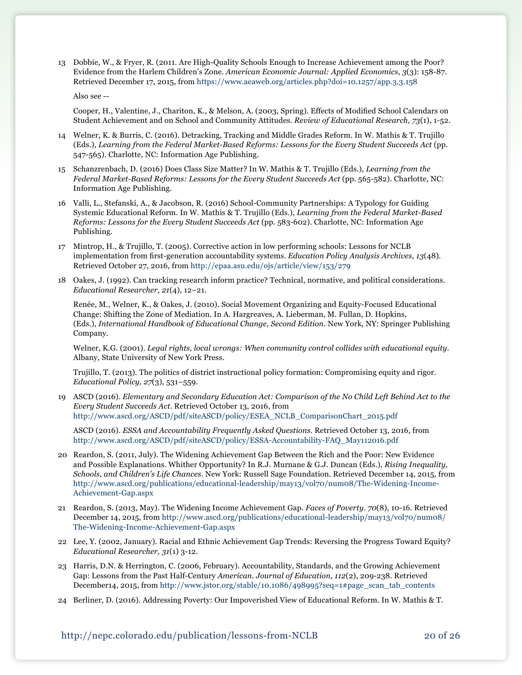13 Dobbie, W., & Fryer, R. (2011. Are High-Quality Schools Enough to Increase Achievement among the Poor? Evidence from the Harlem Children's Zone. *American Economic Journal: Applied Economics*, *3*(3): 158-87. Retrieved December 17, 2015, from <https://www.aeaweb.org/articles.php?doi=10.1257/app.3.3.158>

Also see --

 Cooper, H., Valentine, J., Chariton, K., & Melson, A. (2003, Spring). Effects of Modified School Calendars on Student Achievement and on School and Community Attitudes. *Review of Educational Research, 73*(1), 1-52.

- 14 Welner, K. & Burris, C. (2016). Detracking, Tracking and Middle Grades Reform. In W. Mathis & T. Trujillo (Eds.), *Learning from the Federal Market-Based Reforms: Lessons for the Every Student Succeeds Act* (pp. 547-565). Charlotte, NC: Information Age Publishing.
- 15 Schanzrenbach, D. (2016) Does Class Size Matter? In W. Mathis & T. Trujillo (Eds.), *Learning from the Federal Market-Based Reforms: Lessons for the Every Student Succeeds Act* (pp. 565-582). Charlotte, NC: Information Age Publishing.
- 16 Valli, L., Stefanski, A., & Jacobson, R. (2016) School-Community Partnerships: A Typology for Guiding Systemic Educational Reform. In W. Mathis & T. Trujillo (Eds.), *Learning from the Federal Market-Based Reforms: Lessons for the Every Student Succeeds Act* (pp. 583-602). Charlotte, NC: Information Age Publishing.
- 17 Mintrop, H., & Trujillo, T. (2005). Corrective action in low performing schools: Lessons for NCLB implementation from first-generation accountability systems. *Education Policy Analysis Archives, 13*(48). Retrieved October 27, 2016, from [http://epaa.asu.edu/ojs/article/view/153/279](http://epaa.asu.edu/ojs/article/view/153/279 )
- 18 Oakes, J. (1992). Can tracking research inform practice? Technical, normative, and political considerations. *Educational Researcher, 21*(4), 12–21.

Renée, M., Welner, K., & Oakes, J. (2010). Social Movement Organizing and Equity-Focused Educational Change: Shifting the Zone of Mediation. In A. Hargreaves, A. Lieberman, M. Fullan, D. Hopkins, (Eds.), *International Handbook of Educational Change, Second Edition*. New York, NY: Springer Publishing Company.

Welner, K.G. (2001). *Legal rights, local wrongs: When community control collides with educational equity*. Albany, State University of New York Press.

Trujillo, T. (2013). The politics of district instructional policy formation: Compromising equity and rigor. *Educational Policy, 27*(3), 531–559.

19 ASCD (2016). *Elementary and Secondary Education Act: Comparison of the No Child Left Behind Act to the Every Student Succeeds Act*. Retrieved October 13, 2016, from [http://www.ascd.org/ASCD/pdf/siteASCD/policy/ESEA\\_NCLB\\_ComparisonChart\\_2015.pdf](http://www.ascd.org/ASCD/pdf/siteASCD/policy/ESEA_NCLB_ComparisonChart_2015.pdf )

ASCD (2016). *ESSA and Accountability Frequently Asked Questions*. Retrieved October 13, 2016, from [http://www.ascd.org/ASCD/pdf/siteASCD/policy/ESSA-Accountability-FAQ\\_May112016.pdf](http://www.ascd.org/ASCD/pdf/siteASCD/policy/ESSA-Accountability-FAQ_May112016.pdf)

- 20 Reardon, S. (2011, July). The Widening Achievement Gap Between the Rich and the Poor: New Evidence and Possible Explanations. Whither Opportunity? In R.J. Murnane & G.J. Duncan (Eds.), *Rising Inequality, Schools, and Children's Life Chances*. New York: Russell Sage Foundation. Retrieved December 14, 2015, from [http://www.ascd.org/publications/educational-leadership/may13/vol70/num08/The-Widening-Income-](http://www.ascd.org/publications/educational-leadership/may13/vol70/num08/The-Widening-Income-Achievement-Gap.aspx)[Achievement-Gap.aspx](http://www.ascd.org/publications/educational-leadership/may13/vol70/num08/The-Widening-Income-Achievement-Gap.aspx)
- 21 Reardon, S. (2013, May). The Widening Income Achievement Gap. *Faces of Poverty*. *70*(8), 10-16. Retrieved December 14, 2015, from [http://www.ascd.org/publications/educational-leadership/may13/vol70/num08/](http://www.ascd.org/publications/educational-leadership/may13/vol70/num08/The-Widening-Income-Achievement-Gap.aspx ) [The-Widening-Income-Achievement-Gap.aspx](http://www.ascd.org/publications/educational-leadership/may13/vol70/num08/The-Widening-Income-Achievement-Gap.aspx )
- 22 Lee, Y. (2002, January). Racial and Ethnic Achievement Gap Trends: Reversing the Progress Toward Equity? *Educational Researcher, 31*(1) 3-12.
- 23 Harris, D.N. & Herrington, C. (2006, February). Accountability, Standards, and the Growing Achievement Gap: Lessons from the Past Half-Century *American. Journal of Education*, *112*(2), 209-238. Retrieved December14, 2015, from [http://www.jstor.org/stable/10.1086/498995?seq=1#page\\_scan\\_tab\\_contents](http://www.jstor.org/stable/10.1086/498995?seq=1#page_scan_tab_contents)
- 24 Berliner, D. (2016). Addressing Poverty: Our Impoverished View of Educational Reform. In W. Mathis & T.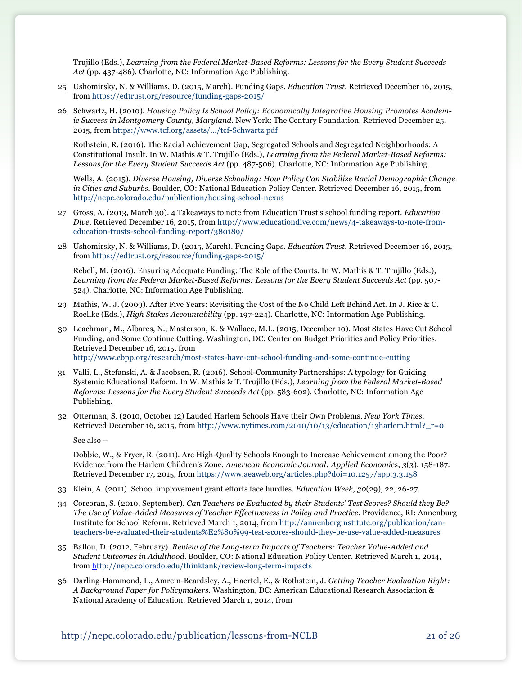Trujillo (Eds.), *Learning from the Federal Market-Based Reforms: Lessons for the Every Student Succeeds Act* (pp. 437-486). Charlotte, NC: Information Age Publishing.

- 25 Ushomirsky, N. & Williams, D. (2015, March). Funding Gaps. *Education Trust*. Retrieved December 16, 2015, from <https://edtrust.org/resource/funding-gaps-2015/>
- 26 Schwartz, H. (2010). *Housing Policy Is School Policy: Economically Integrative Housing Promotes Academic Success in Montgomery County, Maryland*. New York: The Century Foundation. Retrieved December 25, 2015, from<https://www.tcf.org/assets/.../tcf-Schwartz.pdf>

Rothstein, R. (2016). The Racial Achievement Gap, Segregated Schools and Segregated Neighborhoods: A Constitutional Insult. In W. Mathis & T. Trujillo (Eds.), *Learning from the Federal Market-Based Reforms: Lessons for the Every Student Succeeds Act* (pp. 487-506). Charlotte, NC: Information Age Publishing.

Wells, A. (2015). *Diverse Housing, Diverse Schooling: How Policy Can Stabilize Racial Demographic Change in Cities and Suburbs*. Boulder, CO: National Education Policy Center. Retrieved December 16, 2015, from <http://nepc.colorado.edu/publication/housing-school-nexus>

- 27 Gross, A. (2013, March 30). 4 Takeaways to note from Education Trust's school funding report. *Education Dive*. Retrieved December 16, 2015, from [http://www.educationdive.com/news/4-takeaways-to-note-from](http://www.educationdive.com/news/4-takeaways-to-note-from-education-trusts-school-funding-report/380189/)[education-trusts-school-funding-report/380189/](http://www.educationdive.com/news/4-takeaways-to-note-from-education-trusts-school-funding-report/380189/)
- 28 Ushomirsky, N. & Williams, D. (2015, March). Funding Gaps. *Education Trust*. Retrieved December 16, 2015, from <https://edtrust.org/resource/funding-gaps-2015/>

Rebell, M. (2016). Ensuring Adequate Funding: The Role of the Courts. In W. Mathis & T. Trujillo (Eds.), *Learning from the Federal Market-Based Reforms: Lessons for the Every Student Succeeds Act* (pp. 507- 524). Charlotte, NC: Information Age Publishing.

- 29 Mathis, W. J. (2009). After Five Years: Revisiting the Cost of the No Child Left Behind Act. In J. Rice & C. Roellke (Eds.), *High Stakes Accountability* (pp. 197-224). Charlotte, NC: Information Age Publishing.
- 30 Leachman, M., Albares, N., Masterson, K. & Wallace, M.L. (2015, December 10). Most States Have Cut School Funding, and Some Continue Cutting. Washington, DC: Center on Budget Priorities and Policy Priorities. Retrieved December 16, 2015, from <http://www.cbpp.org/research/most-states-have-cut-school-funding-and-some-continue-cutting>
- 31 Valli, L., Stefanski, A. & Jacobsen, R. (2016). School-Community Partnerships: A typology for Guiding Systemic Educational Reform. In W. Mathis & T. Trujillo (Eds.), *Learning from the Federal Market-Based Reforms: Lessons for the Every Student Succeeds Act* (pp. 583-602). Charlotte, NC: Information Age Publishing.
- 32 Otterman, S. (2010, October 12) Lauded Harlem Schools Have their Own Problems. *New York Times.* Retrieved December 16, 2015, from [http://www.nytimes.com/2010/10/13/education/13harlem.html?\\_r=0](http://www.nytimes.com/2010/10/13/education/13harlem.html?_r=0)

See also –

 Dobbie, W., & Fryer, R. (2011). Are High-Quality Schools Enough to Increase Achievement among the Poor? Evidence from the Harlem Children's Zone. *American Economic Journal: Applied Economics*, *3*(3), 158-187. Retrieved December 17, 2015, from <https://www.aeaweb.org/articles.php?doi=10.1257/app.3.3.158>

- 33 Klein, A. (2011). School improvement grant efforts face hurdles. *Education Week*, *30*(29), 22, 26-27.
- 34 Corcoran, S. (2010, September). *Can Teachers be Evaluated by their Students' Test Scores? Should they Be? The Use of Value-Added Measures of Teacher Effectiveness in Policy and Practice*. Providence, RI: Annenburg Institute for School Reform. Retrieved March 1, 2014, from [http://annenberginstitute.org/publication/can](http://annenberginstitute.org/publication/can-teachers-be-evaluated-their-students%E2%80%99-test-scores-should-they-be-use-value-added-measures)[teachers-be-evaluated-their-students%E2%80%99-test-scores-should-they-be-use-value-added-measures](http://annenberginstitute.org/publication/can-teachers-be-evaluated-their-students%E2%80%99-test-scores-should-they-be-use-value-added-measures)
- 35 Ballou, D. (2012, February). *Review of the Long-term Impacts of Teachers: Teacher Value-Added and Student Outcomes in Adulthood*. Boulder, CO: National Education Policy Center. Retrieved March 1, 2014, from <http://nepc.colorado.edu/thinktank/review-long-term-impacts>
- 36 Darling-Hammond, L., Amrein-Beardsley, A., Haertel, E., & Rothstein, J. *Getting Teacher Evaluation Right: A Background Paper for Policymakers.* Washington, DC: American Educational Research Association & National Academy of Education. Retrieved March 1, 2014, from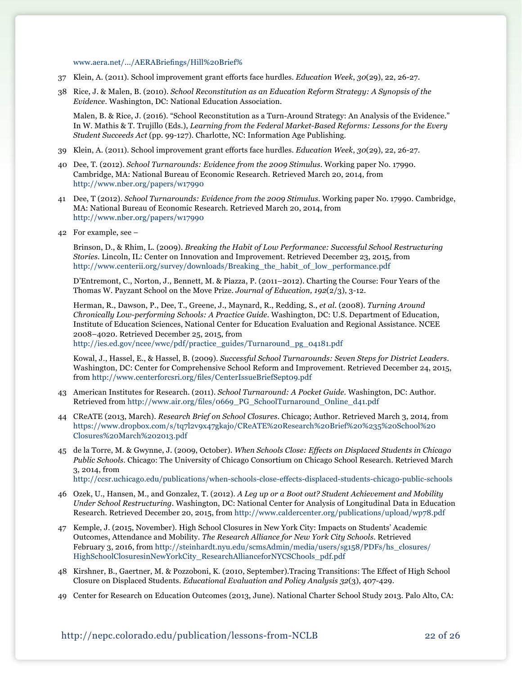[www.aera.net/.../AERABriefings/Hill%20Brief%](http://www.aera.net/.../AERABriefings/Hill%20Brief%25)

- 37 Klein, A. (2011). School improvement grant efforts face hurdles. *Education Week*, *30*(29), 22, 26-27.
- 38 Rice, J. & Malen, B. (2010). *School Reconstitution as an Education Reform Strategy: A Synopsis of the Evidence*. Washington, DC: National Education Association.

Malen, B. & Rice, J. (2016). "School Reconstitution as a Turn-Around Strategy: An Analysis of the Evidence." In W. Mathis & T. Trujillo (Eds.), *Learning from the Federal Market-Based Reforms: Lessons for the Every Student Succeeds Act* (pp. 99-127). Charlotte, NC: Information Age Publishing.

- 39 Klein, A. (2011). School improvement grant efforts face hurdles. *Education Week*, *30*(29), 22, 26-27.
- 40 Dee, T. (2012). *School Turnarounds: Evidence from the 2009 Stimulus*. Working paper No. 17990. Cambridge, MA: National Bureau of Economic Research. Retrieved March 20, 2014, from <http://www.nber.org/papers/w17990>
- 41 Dee, T (2012). *School Turnarounds: Evidence from the 2009 Stimulus*. Working paper No. 17990. Cambridge, MA: National Bureau of Economic Research. Retrieved March 20, 2014, from <http://www.nber.org/papers/w17990>
- 42 For example, see –

Brinson, D., & Rhim, L. (2009). *Breaking the Habit of Low Performance: Successful School Restructuring Stories.* Lincoln, IL: Center on Innovation and Improvement. Retrieved December 23, 2015, from [http://www.centerii.org/survey/downloads/Breaking\\_the\\_habit\\_of\\_low\\_performance.pdf](http://www.centerii.org/survey/downloads/Breaking_the_habit_of_low_performance.pdf)

D'Entremont, C., Norton, J., Bennett, M. & Piazza, P. (2011–2012). Charting the Course: Four Years of the Thomas W. Payzant School on the Move Prize. *Journal of Education, 192*(2/3), 3-12.

Herman, R., Dawson, P., Dee, T., Greene, J., Maynard, R., Redding, S., *et al.* (2008). *Turning Around Chronically Low-performing Schools: A Practice Guide.* Washington, DC: U.S. Department of Education, Institute of Education Sciences, National Center for Education Evaluation and Regional Assistance. NCEE 2008–4020. Retrieved December 25, 2015, from

[http://ies.ed.gov/ncee/wwc/pdf/practice\\_guides/Turnaround\\_pg\\_04181.pdf](http://ies.ed.gov/ncee/wwc/pdf/practice_guides/Turnaround_pg_04181.pdf)

Kowal, J., Hassel, E., & Hassel, B. (2009). *Successful School Turnarounds: Seven Steps for District Leaders.*  Washington, DC: Center for Comprehensive School Reform and Improvement. Retrieved December 24, 2015, from <http://www.centerforcsri.org/files/CenterIssueBriefSept09.pdf>

- 43 American Institutes for Research. (2011). *School Turnaround: A Pocket Guide.* Washington, DC: Author. Retrieved from [http://www.air.org/files/0669\\_PG\\_SchoolTurnaround\\_Online\\_d41.pdf](http://www.air.org/files/0669_PG_SchoolTurnaround_Online_d41.pdf)
- 44 CReATE (2013, March). *Research Brief on School Closures*. Chicago; Author. Retrieved March 3, 2014, from [https://www.dropbox.com/s/tq7l2v9x47gkajo/CReATE%20Research%20Brief%20%235%20School%20](https://www.dropbox.com/s/tq7l2v9x47gkajo/CReATE%20Research%20Brief%20%235%20School%20Closures%20March%202013.pdf) [Closures%20March%202013.pdf](https://www.dropbox.com/s/tq7l2v9x47gkajo/CReATE%20Research%20Brief%20%235%20School%20Closures%20March%202013.pdf)
- 45 de la Torre, M. & Gwynne, J. (2009, October). *When Schools Close: Effects on Displaced Students in Chicago Public Schools.* Chicago: The University of Chicago Consortium on Chicago School Research. Retrieved March 3, 2014, from <http://ccsr.uchicago.edu/publications/when-schools-close-effects-displaced-students-chicago-public-schools>

- 46 Ozek, U., Hansen, M., and Gonzalez, T. (2012). *A Leg up or a Boot out? Student Achievement and Mobility Under School Restructuring.* Washington, DC: National Center for Analysis of Longitudinal Data in Education Research. Retrieved December 20, 2015, from<http://www.caldercenter.org/publications/upload/wp78.pdf>
- 47 Kemple, J. (2015, November). High School Closures in New York City: Impacts on Students' Academic Outcomes, Attendance and Mobility. *The Research Alliance for New York City Schools*. Retrieved February 3, 2016, from [http://steinhardt.nyu.edu/scmsAdmin/media/users/sg158/PDFs/hs\\_closures/](http://steinhardt.nyu.edu/scmsAdmin/media/users/sg158/PDFs/hs_closures/HighSchoolClosuresinNewYorkCity_ResearchAllianceforNYCSChools_pdf.pdf ) [HighSchoolClosuresinNewYorkCity\\_ResearchAllianceforNYCSChools\\_pdf.pdf](http://steinhardt.nyu.edu/scmsAdmin/media/users/sg158/PDFs/hs_closures/HighSchoolClosuresinNewYorkCity_ResearchAllianceforNYCSChools_pdf.pdf )
- 48 Kirshner, B., Gaertner, M. & Pozzoboni, K. (2010, September).Tracing Transitions: The Effect of High School Closure on Displaced Students. *Educational Evaluation and Policy Analysis 32*(3), 407-429.
- 49 Center for Research on Education Outcomes (2013, June). National Charter School Study 2013. Palo Alto, CA: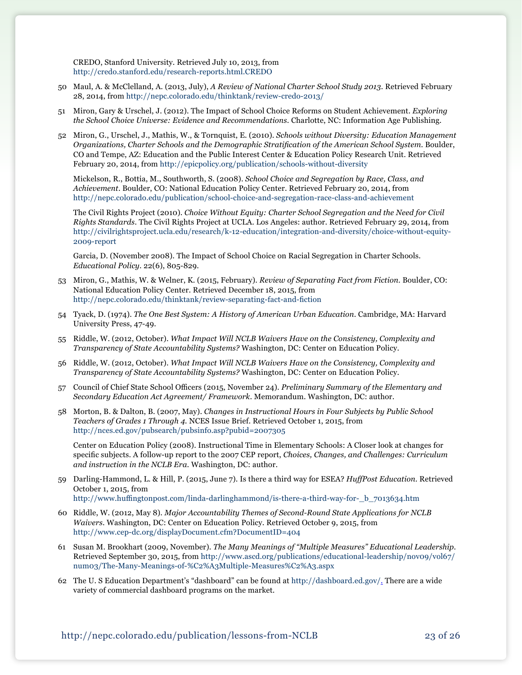CREDO, Stanford University. Retrieved July 10, 2013, from <http://credo.stanford.edu/research-reports.html.CREDO>

- 50 Maul, A. & McClelland, A. (2013, July), *A Review of National Charter School Study 2013.* Retrieved February 28, 2014, from<http://nepc.colorado.edu/thinktank/review-credo-2013/>
- 51 Miron, Gary & Urschel, J. (2012). The Impact of School Choice Reforms on Student Achievement. *Exploring the School Choice Universe: Evidence and Recommendations*. Charlotte, NC: Information Age Publishing.
- 52 Miron, G., Urschel, J., Mathis, W., & Tornquist, E. (2010). *Schools without Diversity: Education Management Organizations, Charter Schools and the Demographic Stratification of the American School System*. Boulder, CO and Tempe, AZ: Education and the Public Interest Center & Education Policy Research Unit. Retrieved February 20, 2014, from <http://epicpolicy.org/publication/schools-without-diversity>

Mickelson, R., Bottia, M., Southworth, S. (2008). *School Choice and Segregation by Race, Class, and Achievement*. Boulder, CO: National Education Policy Center. Retrieved February 20, 2014, from <http://nepc.colorado.edu/publication/school-choice-and-segregation-race-class-and-achievement>

The Civil Rights Project (2010). *Choice Without Equity: Charter School Segregation and the Need for Civil Rights Standards.* The Civil Rights Project at UCLA. Los Angeles: author. Retrieved February 29, 2014, from [http://civilrightsproject.ucla.edu/research/k-12-education/integration-and-diversity/choice-without-equity-](http://civilrightsproject.ucla.edu/research/k-12-education/integration-and-diversity/choice-without-equity-2009-report)[2009-report](http://civilrightsproject.ucla.edu/research/k-12-education/integration-and-diversity/choice-without-equity-2009-report)

Garcia, D. (November 2008). The Impact of School Choice on Racial Segregation in Charter Schools. *Educational Policy*. 22(6), 805-829.

- 53 Miron, G., Mathis, W. & Welner, K. (2015, February). *Review of Separating Fact from Fiction.* Boulder, CO: National Education Policy Center. Retrieved December 18, 2015, from <http://nepc.colorado.edu/thinktank/review-separating-fact-and-fiction>
- 54 Tyack, D. (1974). *The One Best System: A History of American Urban Education*. Cambridge, MA: Harvard University Press, 47-49.
- 55 Riddle, W. (2012, October). *What Impact Will NCLB Waivers Have on the Consistency, Complexity and Transparency of State Accountability Systems?* Washington, DC: Center on Education Policy.
- 56 Riddle, W. (2012, October). *What Impact Will NCLB Waivers Have on the Consistency, Complexity and Transparency of State Accountability Systems?* Washington, DC: Center on Education Policy.
- 57 Council of Chief State School Officers (2015, November 24). *Preliminary Summary of the Elementary and Secondary Education Act Agreement/ Framework*. Memorandum. Washington, DC: author.
- 58 Morton, B. & Dalton, B. (2007, May). *Changes in Instructional Hours in Four Subjects by Public School Teachers of Grades 1 Through 4.* NCES Issue Brief. Retrieved October 1, 2015, from <http://nces.ed.gov/pubsearch/pubsinfo.asp?pubid=2007305>

Center on Education Policy (2008). Instructional Time in Elementary Schools: A Closer look at changes for specific subjects. A follow-up report to the 2007 CEP report, *Choices, Changes, and Challenges: Curriculum and instruction in the NCLB Era*. Washington, DC: author.

- 59 Darling-Hammond, L. & Hill, P. (2015, June 7). Is there a third way for ESEA? *HuffPost Education.* Retrieved October 1, 2015, from [http://www.huffingtonpost.com/linda-darlinghammond/is-there-a-third-way-for-\\_b\\_7013634.htm](http://www.huffingtonpost.com/linda-darlinghammond/is-there-a-third-way-for-_b_7013634.htm)
- 60 Riddle, W. (2012, May 8). *Major Accountability Themes of Second-Round State Applications for NCLB Waivers*. Washington, DC: Center on Education Policy. Retrieved October 9, 2015, from <http://www.cep-dc.org/displayDocument.cfm?DocumentID=404>
- 61 Susan M. Brookhart (2009, November). *The Many Meanings of "Multiple Measures" Educational Leadership*. Retrieved September 30, 2015, from [http://www.ascd.org/publications/educational-leadership/nov09/vol67/](http://www.ascd.org/publications/educational-leadership/nov09/vol67/num03/The-Many-Meanings-of-%C2%A3Multiple-Measures%C2%A3.aspx) [num03/The-Many-Meanings-of-%C2%A3Multiple-Measures%C2%A3.aspx](http://www.ascd.org/publications/educational-leadership/nov09/vol67/num03/The-Many-Meanings-of-%C2%A3Multiple-Measures%C2%A3.aspx)
- 62 The U. S Education Department's "dashboard" can be found at [http://dashboard.ed.gov/.](http://dashboard.ed.gov/) There are a wide variety of commercial dashboard programs on the market.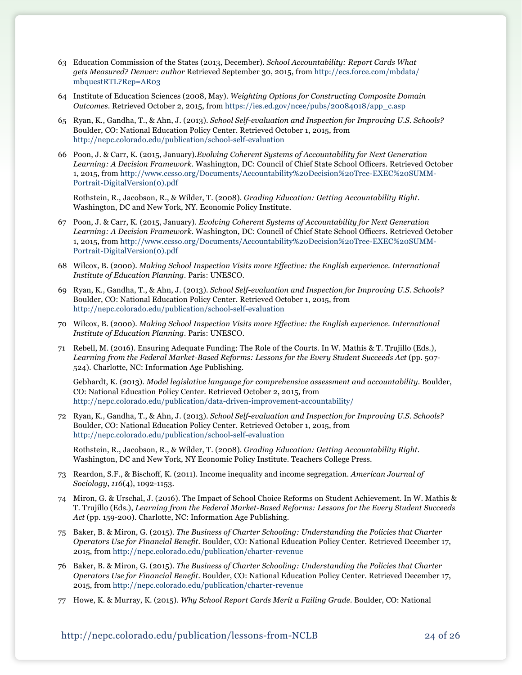- 63 Education Commission of the States (2013, December). *School Accountability: Report Cards What gets Measured? Denver: author* Retrieved September 30, 2015, from [http://ecs.force.com/mbdata/](http://ecs.force.com/mbdata/mbquestRTL?Rep=AR03 ) [mbquestRTL?Rep=AR03](http://ecs.force.com/mbdata/mbquestRTL?Rep=AR03 )
- 64 Institute of Education Sciences (2008, May). *Weighting Options for Constructing Composite Domain Outcomes*. Retrieved October 2, 2015, from [https://ies.ed.gov/ncee/pubs/20084018/app\\_c.asp](https://ies.ed.gov/ncee/pubs/20084018/app_c.asp)
- 65 Ryan, K., Gandha, T., & Ahn, J. (2013). *School Self-evaluation and Inspection for Improving U.S. Schools?*  Boulder, CO: National Education Policy Center. Retrieved October 1, 2015, from <http://nepc.colorado.edu/publication/school-self-evaluation>
- 66 Poon, J. & Carr, K. (2015, January).*Evolving Coherent Systems of Accountability for Next Generation Learning: A Decision Framework*. Washington, DC: Council of Chief State School Officers. Retrieved October 1, 2015, from [http://www.ccsso.org/Documents/Accountability%20Decision%20Tree-EXEC%20SUMM-](http://www.ccsso.org/Documents/Accountability%20Decision%20Tree-EXEC%20SUMM-Portrait-DigitalVersion(0).pdf)[Portrait-DigitalVersion\(0\).pdf](http://www.ccsso.org/Documents/Accountability%20Decision%20Tree-EXEC%20SUMM-Portrait-DigitalVersion(0).pdf)

Rothstein, R., Jacobson, R., & Wilder, T. (2008). *Grading Education: Getting Accountability Right*. Washington, DC and New York, NY. Economic Policy Institute.

- 67 Poon, J. & Carr, K. (2015, January). *Evolving Coherent Systems of Accountability for Next Generation Learning: A Decision Framework*. Washington, DC: Council of Chief State School Officers. Retrieved October 1, 2015, from [http://www.ccsso.org/Documents/Accountability%20Decision%20Tree-EXEC%20SUMM-](http://www.ccsso.org/Documents/Accountability%20Decision%20Tree-EXEC%20SUMM-Portrait-DigitalVersion(0).pdf)[Portrait-DigitalVersion\(0\).pdf](http://www.ccsso.org/Documents/Accountability%20Decision%20Tree-EXEC%20SUMM-Portrait-DigitalVersion(0).pdf)
- 68 Wilcox, B. (2000). *Making School Inspection Visits more Effective: the English experience. International Institute of Education Planning.* Paris: UNESCO.
- 69 Ryan, K., Gandha, T., & Ahn, J. (2013). *School Self-evaluation and Inspection for Improving U.S. Schools?*  Boulder, CO: National Education Policy Center. Retrieved October 1, 2015, from <http://nepc.colorado.edu/publication/school-self-evaluation>
- 70 Wilcox, B. (2000). *Making School Inspection Visits more Effective: the English experience. International Institute of Education Planning.* Paris: UNESCO.
- 71 Rebell, M. (2016). Ensuring Adequate Funding: The Role of the Courts. In W. Mathis & T. Trujillo (Eds.), *Learning from the Federal Market-Based Reforms: Lessons for the Every Student Succeeds Act* (pp. 507- 524). Charlotte, NC: Information Age Publishing.

Gebhardt, K. (2013). *Model legislative language for comprehensive assessment and accountability.* Boulder, CO: National Education Policy Center. Retrieved October 2, 2015, from <http://nepc.colorado.edu/publication/data-driven-improvement-accountability/>

72 Ryan, K., Gandha, T., & Ahn, J. (2013). *School Self-evaluation and Inspection for Improving U.S. Schools?*  Boulder, CO: National Education Policy Center. Retrieved October 1, 2015, from <http://nepc.colorado.edu/publication/school-self-evaluation>

Rothstein, R., Jacobson, R., & Wilder, T. (2008). *Grading Education: Getting Accountability Right.*  Washington, DC and New York, NY Economic Policy Institute. Teachers College Press.

- 73 Reardon, S.F., & Bischoff, K. (2011). Income inequality and income segregation. *American Journal of Sociology*, *116*(4), 1092-1153.
- 74 Miron, G. & Urschal, J. (2016). The Impact of School Choice Reforms on Student Achievement. In W. Mathis & T. Trujillo (Eds.), *Learning from the Federal Market-Based Reforms: Lessons for the Every Student Succeeds Act* (pp. 159-200). Charlotte, NC: Information Age Publishing.
- 75 Baker, B. & Miron, G. (2015). *The Business of Charter Schooling: Understanding the Policies that Charter Operators Use for Financial Benefit.* Boulder, CO: National Education Policy Center. Retrieved December 17, 2015, fro[m http://nepc.colorado.edu/publication/charter-revenue]( http://nepc.colorado.edu/publication/charter-revenue)
- 76 Baker, B. & Miron, G. (2015). *The Business of Charter Schooling: Understanding the Policies that Charter Operators Use for Financial Benefit.* Boulder, CO: National Education Policy Center. Retrieved December 17, 2015, from<http://nepc.colorado.edu/publication/charter-revenue>
- 77 Howe, K. & Murray, K. (2015). *Why School Report Cards Merit a Failing Grade.* Boulder, CO: National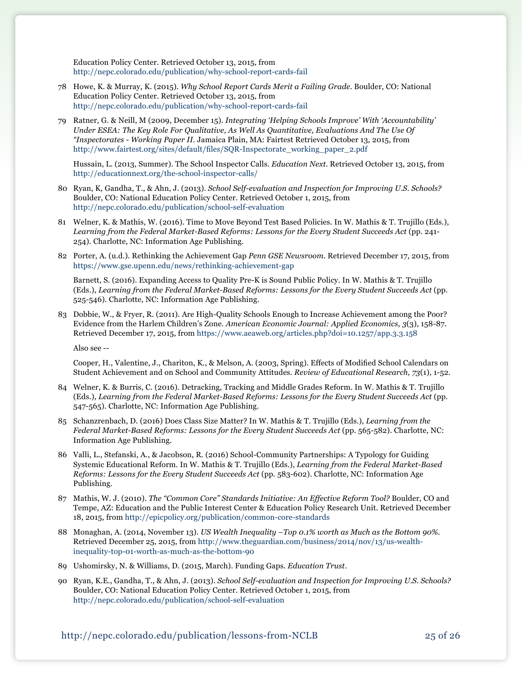Education Policy Center. Retrieved October 13, 2015, from <http://nepc.colorado.edu/publication/why-school-report-cards-fail>

- 78 Howe, K. & Murray, K. (2015). *Why School Report Cards Merit a Failing Grade.* Boulder, CO: National Education Policy Center. Retrieved October 13, 2015, from <http://nepc.colorado.edu/publication/why-school-report-cards-fail>
- 79 Ratner, G. & Neill, M (2009, December 15). *Integrating 'Helping Schools Improve' With 'Accountability' Under ESEA: The Key Role For Qualitative, As Well As Quantitative, Evaluations And The Use Of "Inspectorates - Working Paper II.* Jamaica Plain, MA: Fairtest Retrieved October 13, 2015, from [http://www.fairtest.org/sites/default/files/SQR-Inspectorate\\_working\\_paper\\_2.pdf](http://www.fairtest.org/sites/default/files/SQR-Inspectorate_working_paper_2.pdf)

Hussain, L. (2013, Summer). The School Inspector Calls. *Education Next*. Retrieved October 13, 2015, from <http://educationnext.org/the-school-inspector-calls/>

- 80 Ryan, K, Gandha, T., & Ahn, J. (2013). *School Self-evaluation and Inspection for Improving U.S. Schools?*  Boulder, CO: National Education Policy Center. Retrieved October 1, 2015, from <http://nepc.colorado.edu/publication/school-self-evaluation>
- 81 Welner, K. & Mathis, W. (2016). Time to Move Beyond Test Based Policies. In W. Mathis & T. Trujillo (Eds.), *Learning from the Federal Market-Based Reforms: Lessons for the Every Student Succeeds Act* (pp. 241- 254). Charlotte, NC: Information Age Publishing.
- 82 Porter, A. (u.d.). Rethinking the Achievement Gap *Penn GSE Newsroom*. Retrieved December 17, 2015, from <https://www.gse.upenn.edu/news/rethinking-achievement-gap>

 Barnett, S. (2016). Expanding Access to Quality Pre-K is Sound Public Policy. In W. Mathis & T. Trujillo (Eds.), *Learning from the Federal Market-Based Reforms: Lessons for the Every Student Succeeds Act* (pp. 525-546). Charlotte, NC: Information Age Publishing.

83 Dobbie, W., & Fryer, R. (2011). Are High-Quality Schools Enough to Increase Achievement among the Poor? Evidence from the Harlem Children's Zone. *American Economic Journal: Applied Economics*, *3*(3), 158-87. Retrieved December 17, 2015, from <https://www.aeaweb.org/articles.php?doi=10.1257/app.3.3.158>

Also see --

 Cooper, H., Valentine, J., Chariton, K., & Melson, A. (2003, Spring). Effects of Modified School Calendars on Student Achievement and on School and Community Attitudes. *Review of Educational Research, 73*(1), 1-52.

- 84 Welner, K. & Burris, C. (2016). Detracking, Tracking and Middle Grades Reform. In W. Mathis & T. Trujillo (Eds.), *Learning from the Federal Market-Based Reforms: Lessons for the Every Student Succeeds Act* (pp. 547-565). Charlotte, NC: Information Age Publishing.
- 85 Schanzrenbach, D. (2016) Does Class Size Matter? In W. Mathis & T. Trujillo (Eds.), *Learning from the Federal Market-Based Reforms: Lessons for the Every Student Succeeds Act* (pp. 565-582). Charlotte, NC: Information Age Publishing.
- 86 Valli, L., Stefanski, A., & Jacobson, R. (2016) School-Community Partnerships: A Typology for Guiding Systemic Educational Reform. In W. Mathis & T. Trujillo (Eds.), *Learning from the Federal Market-Based Reforms: Lessons for the Every Student Succeeds Act* (pp. 583-602). Charlotte, NC: Information Age Publishing.
- 87 Mathis, W. J. (2010). *The "Common Core" Standards Initiative: An Effective Reform Tool?* Boulder, CO and Tempe, AZ: Education and the Public Interest Center & Education Policy Research Unit. Retrieved December 18, 2015, from http://epicpolicy.org/publication/common-core-standards
- 88 Monaghan, A. (2014, November 13). *US Wealth Inequality –Top 0.1% worth as Much as the Bottom 90%.*  Retrieved December 25, 2015, from [http://www.theguardian.com/business/2014/nov/13/us-wealth](http://www.theguardian.com/business/2014/nov/13/us-wealth-inequality-top-01-worth-as-much-as-the-bottom-90)[inequality-top-01-worth-as-much-as-the-bottom-90](http://www.theguardian.com/business/2014/nov/13/us-wealth-inequality-top-01-worth-as-much-as-the-bottom-90)
- 89 Ushomirsky, N. & Williams, D. (2015, March). Funding Gaps. *Education Trust*.
- 90 Ryan, K.E., Gandha, T., & Ahn, J. (2013). *School Self-evaluation and Inspection for Improving U.S. Schools?* Boulder, CO: National Education Policy Center. Retrieved October 1, 2015, from <http://nepc.colorado.edu/publication/school-self-evaluation>